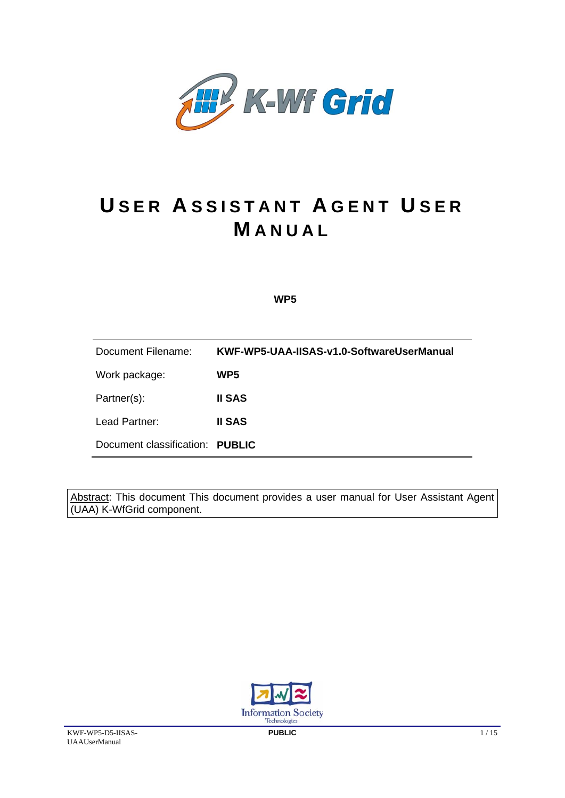

# **U SER A SSISTANT A GENT U SER M ANUAL**

 **WP5**

Document Filename: **KWF-WP5-UAA-IISAS-v1.0-SoftwareUserManual**  Work package: **WP5**  Partner(s): **II SAS**  Lead Partner: **II SAS**  Document classification: **PUBLIC** 

Abstract: This document This document provides a user manual for User Assistant Agent (UAA) K-WfGrid component.

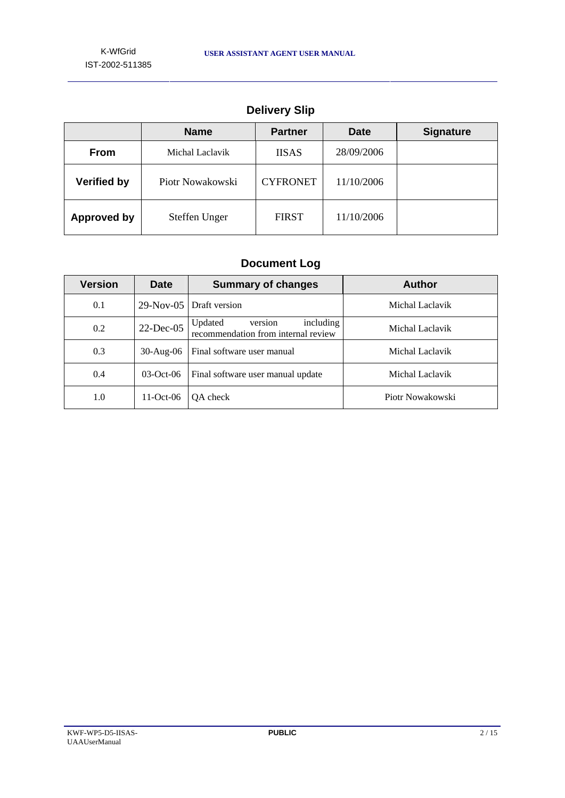|                    | <b>Name</b>      | <b>Partner</b>  | <b>Date</b> | <b>Signature</b> |
|--------------------|------------------|-----------------|-------------|------------------|
| <b>From</b>        | Michal Laclavik  | <b>IISAS</b>    | 28/09/2006  |                  |
| <b>Verified by</b> | Piotr Nowakowski | <b>CYFRONET</b> | 11/10/2006  |                  |
| <b>Approved by</b> | Steffen Unger    | <b>FIRST</b>    | 11/10/2006  |                  |

# **Delivery Slip**

# **Document Log**

| <b>Version</b> | <b>Date</b>     | <b>Summary of changes</b>                                              | <b>Author</b>    |
|----------------|-----------------|------------------------------------------------------------------------|------------------|
| 0.1            | $29-Nov-05$     | Draft version                                                          | Michal Laclavik  |
| 0.2            | $22$ -Dec-05    | including<br>Updated<br>version<br>recommendation from internal review | Michal Laclavik  |
| 0.3            | $30$ -Aug- $06$ | Final software user manual                                             | Michal Laclavik  |
| 0.4            | $03-Oct-06$     | Final software user manual update                                      | Michal Laclavik  |
| 1.0            | $11-Oct-06$     | OA check                                                               | Piotr Nowakowski |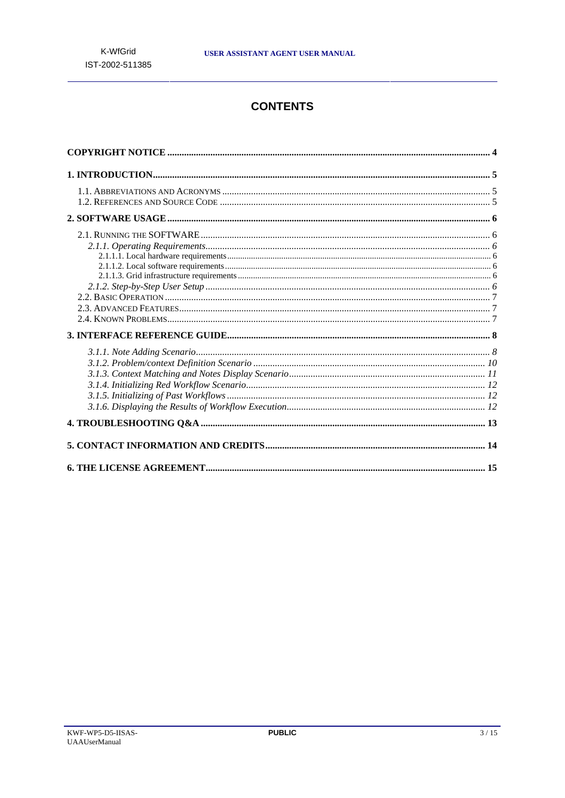# **CONTENTS**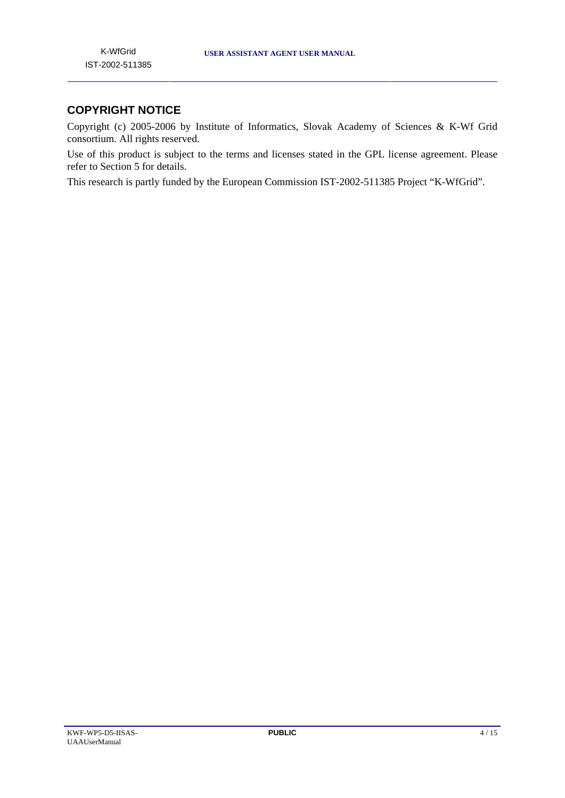# **COPYRIGHT NOTICE**

Copyright (c) 2005-2006 by Institute of Informatics, Slovak Academy of Sciences & K-Wf Grid consortium. All rights reserved.

Use of this product is subject to the terms and licenses stated in the GPL license agreement. Please refer to Section 5 for details.

This research is partly funded by the European Commission IST-2002-511385 Project "K-WfGrid".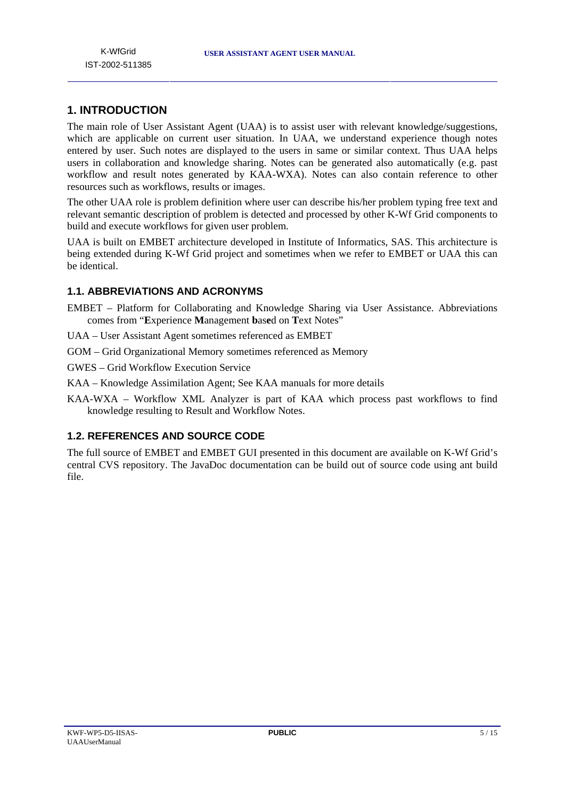# **1. INTRODUCTION**

The main role of User Assistant Agent (UAA) is to assist user with relevant knowledge/suggestions, which are applicable on current user situation. In UAA, we understand experience though notes entered by user. Such notes are displayed to the users in same or similar context. Thus UAA helps users in collaboration and knowledge sharing. Notes can be generated also automatically (e.g. past workflow and result notes generated by KAA-WXA). Notes can also contain reference to other resources such as workflows, results or images.

The other UAA role is problem definition where user can describe his/her problem typing free text and relevant semantic description of problem is detected and processed by other K-Wf Grid components to build and execute workflows for given user problem.

UAA is built on EMBET architecture developed in Institute of Informatics, SAS. This architecture is being extended during K-Wf Grid project and sometimes when we refer to EMBET or UAA this can be identical.

# **1.1. ABBREVIATIONS AND ACRONYMS**

- EMBET Platform for Collaborating and Knowledge Sharing via User Assistance. Abbreviations comes from "**E**xperience **M**anagement **b**as**e**d on **T**ext Notes"
- UAA User Assistant Agent sometimes referenced as EMBET
- GOM Grid Organizational Memory sometimes referenced as Memory
- GWES Grid Workflow Execution Service
- KAA Knowledge Assimilation Agent; See KAA manuals for more details
- KAA-WXA Workflow XML Analyzer is part of KAA which process past workflows to find knowledge resulting to Result and Workflow Notes.

## **1.2. REFERENCES AND SOURCE CODE**

The full source of EMBET and EMBET GUI presented in this document are available on K-Wf Grid's central CVS repository. The JavaDoc documentation can be build out of source code using ant build file.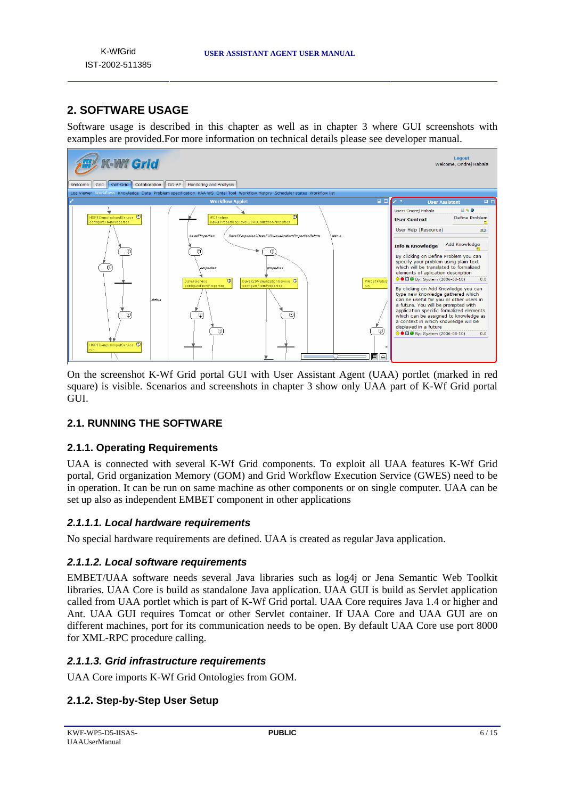# **2. SOFTWARE USAGE**

Software usage is described in this chapter as well as in chapter 3 where GUI screenshots with examples are provided.For more information on technical details please see developer manual.



On the screenshot K-Wf Grid portal GUI with User Assistant Agent (UAA) portlet (marked in red square) is visible. Scenarios and screenshots in chapter 3 show only UAA part of K-Wf Grid portal GUI.

# **2.1. RUNNING THE SOFTWARE**

## **2.1.1. Operating Requirements**

UAA is connected with several K-Wf Grid components. To exploit all UAA features K-Wf Grid portal, Grid organization Memory (GOM) and Grid Workflow Execution Service (GWES) need to be in operation. It can be run on same machine as other components or on single computer. UAA can be set up also as independent EMBET component in other applications

## *2.1.1.1. Local hardware requirements*

No special hardware requirements are defined. UAA is created as regular Java application.

## *2.1.1.2. Local software requirements*

EMBET/UAA software needs several Java libraries such as log4j or Jena Semantic Web Toolkit libraries. UAA Core is build as standalone Java application. UAA GUI is build as Servlet application called from UAA portlet which is part of K-Wf Grid portal. UAA Core requires Java 1.4 or higher and Ant. UAA GUI requires Tomcat or other Servlet container. If UAA Core and UAA GUI are on different machines, port for its communication needs to be open. By default UAA Core use port 8000 for XML-RPC procedure calling.

## *2.1.1.3. Grid infrastructure requirements*

UAA Core imports K-Wf Grid Ontologies from GOM.

# **2.1.2. Step-by-Step User Setup**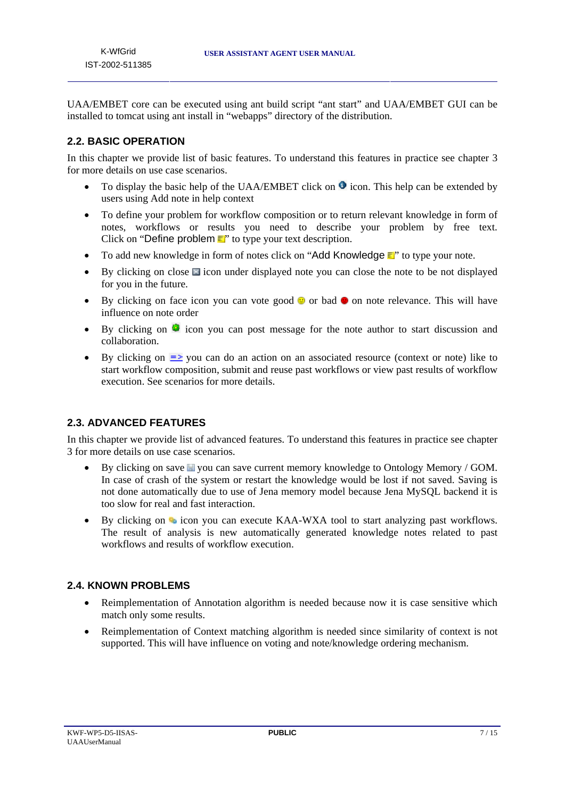UAA/EMBET core can be executed using ant build script "ant start" and UAA/EMBET GUI can be installed to tomcat using ant install in "webapps" directory of the distribution.

# **2.2. BASIC OPERATION**

In this chapter we provide list of basic features. To understand this features in practice see chapter 3 for more details on use case scenarios.

- To display the basic help of the UAA/EMBET click on  $\bullet$  icon. This help can be extended by users using Add note in help context
- To define your problem for workflow composition or to return relevant knowledge in form of notes, workflows or results you need to describe your problem by free text. Click on "Define problem  $\equiv$ " to type your text description.
- To add new knowledge in form of notes click on "Add Knowledge  $\mathbf{r}$ " to type your note.
- By clicking on close  $\blacksquare$  icon under displayed note you can close the note to be not displayed for you in the future.
- By clicking on face icon you can vote good  $\bullet$  or bad  $\bullet$  on note relevance. This will have influence on note order
- By clicking on  $\bullet$  icon you can post message for the note author to start discussion and collaboration.
- By clicking on  $\equiv$  you can do an action on an associated resource (context or note) like to start workflow composition, submit and reuse past workflows or view past results of workflow execution. See scenarios for more details.

# **2.3. ADVANCED FEATURES**

In this chapter we provide list of advanced features. To understand this features in practice see chapter 3 for more details on use case scenarios.

- By clicking on save  $\blacksquare$  you can save current memory knowledge to Ontology Memory / GOM. In case of crash of the system or restart the knowledge would be lost if not saved. Saving is not done automatically due to use of Jena memory model because Jena MySQL backend it is too slow for real and fast interaction.
- By clicking on  $\bullet$  icon you can execute KAA-WXA tool to start analyzing past workflows. The result of analysis is new automatically generated knowledge notes related to past workflows and results of workflow execution.

## **2.4. KNOWN PROBLEMS**

- Reimplementation of Annotation algorithm is needed because now it is case sensitive which match only some results.
- Reimplementation of Context matching algorithm is needed since similarity of context is not supported. This will have influence on voting and note/knowledge ordering mechanism.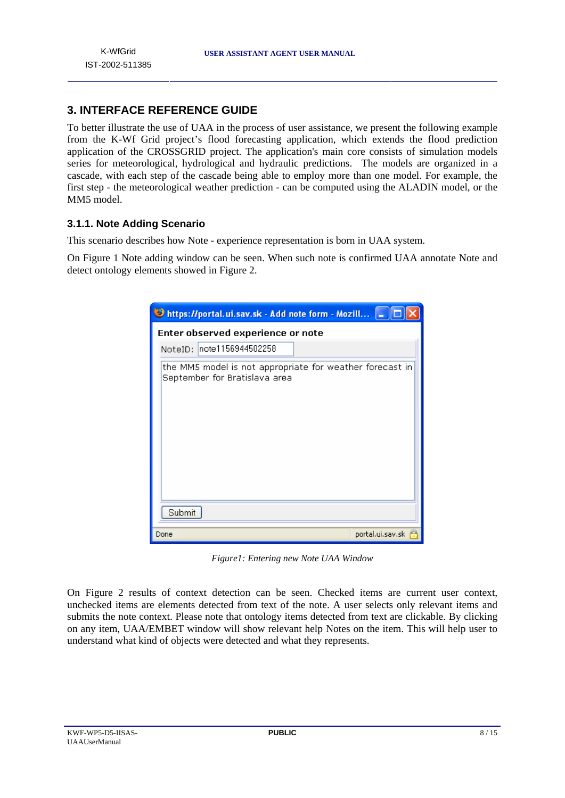# **3. INTERFACE REFERENCE GUIDE**

To better illustrate the use of UAA in the process of user assistance, we present the following example from the K-Wf Grid project's flood forecasting application, which extends the flood prediction application of the CROSSGRID project. The application's main core consists of simulation models series for meteorological, hydrological and hydraulic predictions. The models are organized in a cascade, with each step of the cascade being able to employ more than one model. For example, the first step - the meteorological weather prediction - can be computed using the ALADIN model, or the MM5 model.

# **3.1.1. Note Adding Scenario**

This scenario describes how Note - experience representation is born in UAA system.

On Figure 1 Note adding window can be seen. When such note is confirmed UAA annotate Note and detect ontology elements showed in Figure 2.

| https://portal.ui.sav.sk - Add note form - Mozill                                         |                  |  |
|-------------------------------------------------------------------------------------------|------------------|--|
| Enter observed experience or note                                                         |                  |  |
| note1156944502258<br>NoteID:                                                              |                  |  |
| the MM5 model is not appropriate for weather forecast in<br>September for Bratislava area |                  |  |
| Submit                                                                                    |                  |  |
| Done                                                                                      | portal.ui.sav.sk |  |

*Figure1: Entering new Note UAA Window* 

On Figure 2 results of context detection can be seen. Checked items are current user context, unchecked items are elements detected from text of the note. A user selects only relevant items and submits the note context. Please note that ontology items detected from text are clickable. By clicking on any item, UAA/EMBET window will show relevant help Notes on the item. This will help user to understand what kind of objects were detected and what they represents.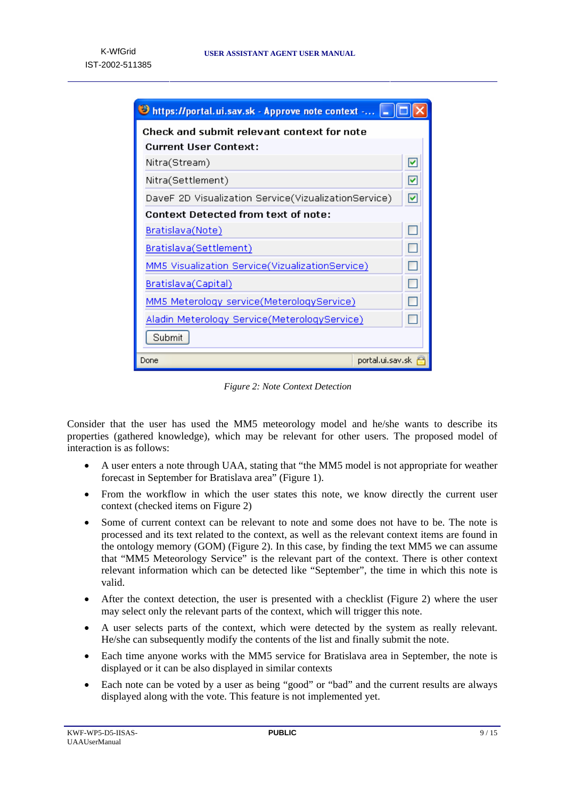| Shttps://portal.ui.sav.sk - Approve note context -   |   |  |
|------------------------------------------------------|---|--|
| Check and submit relevant context for note           |   |  |
| <b>Current User Context:</b>                         |   |  |
| Nitra(Stream)                                        | ⊻ |  |
| Nitra(Settlement)                                    |   |  |
| DaveF 2D Visualization Service(VizualizationService) |   |  |
| Context Detected from text of note:                  |   |  |
| Bratislava(Note)                                     |   |  |
| Bratislava(Settlement)                               |   |  |
| MM5 Visualization Service(VizualizationService)      |   |  |
| Bratislava(Capital)                                  |   |  |
| MM5 Meterology service(MeterologyService)            |   |  |
| Aladin Meterology Service(MeterologyService)         |   |  |
| Submit                                               |   |  |
| portal.ui.sav.sk<br>Done                             |   |  |

*Figure 2: Note Context Detection* 

Consider that the user has used the MM5 meteorology model and he/she wants to describe its properties (gathered knowledge), which may be relevant for other users. The proposed model of interaction is as follows:

- A user enters a note through UAA, stating that "the MM5 model is not appropriate for weather forecast in September for Bratislava area" (Figure 1).
- From the workflow in which the user states this note, we know directly the current user context (checked items on Figure 2)
- Some of current context can be relevant to note and some does not have to be. The note is processed and its text related to the context, as well as the relevant context items are found in the ontology memory (GOM) (Figure 2). In this case, by finding the text MM5 we can assume that "MM5 Meteorology Service" is the relevant part of the context. There is other context relevant information which can be detected like "September", the time in which this note is valid.
- After the context detection, the user is presented with a checklist (Figure 2) where the user may select only the relevant parts of the context, which will trigger this note.
- A user selects parts of the context, which were detected by the system as really relevant. He/she can subsequently modify the contents of the list and finally submit the note.
- Each time anyone works with the MM5 service for Bratislava area in September, the note is displayed or it can be also displayed in similar contexts
- Each note can be voted by a user as being "good" or "bad" and the current results are always displayed along with the vote. This feature is not implemented yet.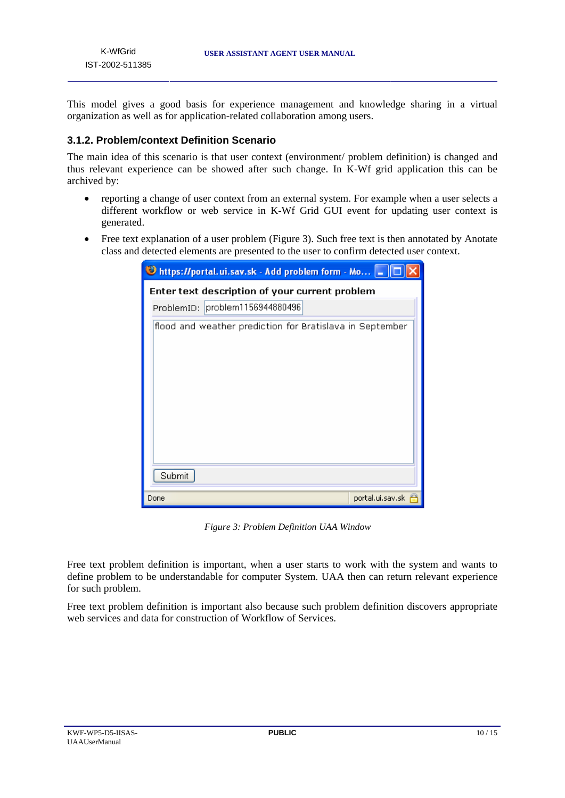This model gives a good basis for experience management and knowledge sharing in a virtual organization as well as for application-related collaboration among users.

## **3.1.2. Problem/context Definition Scenario**

The main idea of this scenario is that user context (environment/ problem definition) is changed and thus relevant experience can be showed after such change. In K-Wf grid application this can be archived by:

- reporting a change of user context from an external system. For example when a user selects a different workflow or web service in K-Wf Grid GUI event for updating user context is generated.
- Free text explanation of a user problem (Figure 3). Such free text is then annotated by Anotate class and detected elements are presented to the user to confirm detected user context.

| bittps://portal.ui.sav.sk - Add problem form - Mo -      |  |  |  |
|----------------------------------------------------------|--|--|--|
| Enter text description of your current problem           |  |  |  |
| ProblemID: problem1156944880496                          |  |  |  |
| flood and weather prediction for Bratislava in September |  |  |  |
| Submit                                                   |  |  |  |
| portal.ui.sav.sk<br>Done                                 |  |  |  |

*Figure 3: Problem Definition UAA Window* 

Free text problem definition is important, when a user starts to work with the system and wants to define problem to be understandable for computer System. UAA then can return relevant experience for such problem.

Free text problem definition is important also because such problem definition discovers appropriate web services and data for construction of Workflow of Services.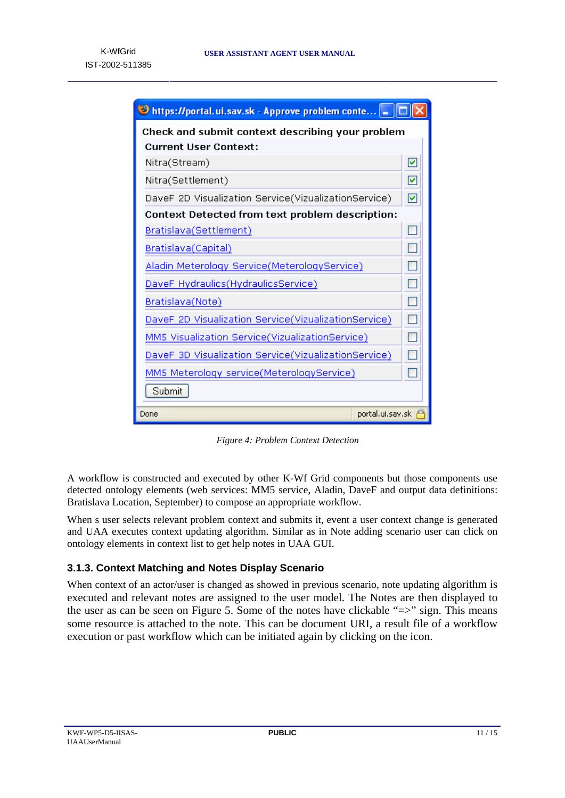

*Figure 4: Problem Context Detection* 

A workflow is constructed and executed by other K-Wf Grid components but those components use detected ontology elements (web services: MM5 service, Aladin, DaveF and output data definitions: Bratislava Location, September) to compose an appropriate workflow.

When s user selects relevant problem context and submits it, event a user context change is generated and UAA executes context updating algorithm. Similar as in Note adding scenario user can click on ontology elements in context list to get help notes in UAA GUI.

# **3.1.3. Context Matching and Notes Display Scenario**

When context of an actor/user is changed as showed in previous scenario, note updating algorithm is executed and relevant notes are assigned to the user model. The Notes are then displayed to the user as can be seen on Figure 5. Some of the notes have clickable "=>" sign. This means some resource is attached to the note. This can be document URI, a result file of a workflow execution or past workflow which can be initiated again by clicking on the icon.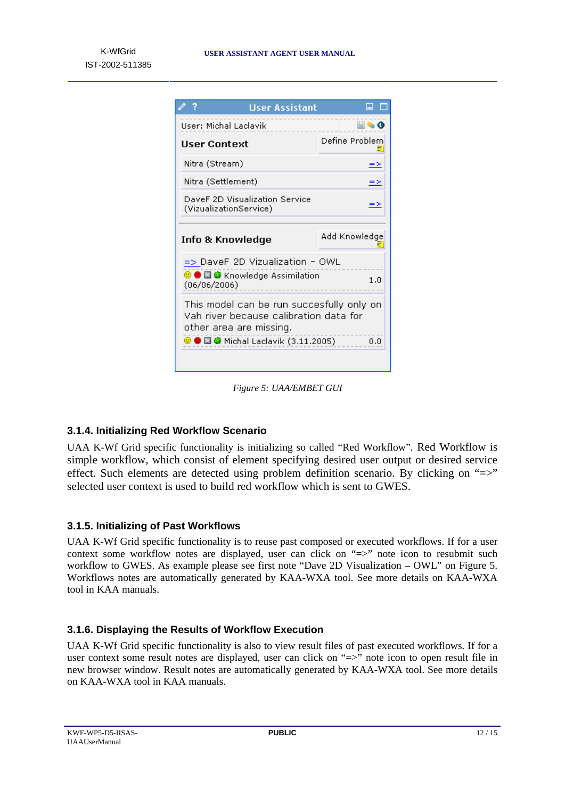| <b>User Assistant</b>                                                                                                                                               | ⊟                  |  |
|---------------------------------------------------------------------------------------------------------------------------------------------------------------------|--------------------|--|
| User: Michal Laclavik                                                                                                                                               | $\blacksquare$ & O |  |
| User Context                                                                                                                                                        | Define Problem     |  |
| Nitra (Stream)                                                                                                                                                      | ≕                  |  |
| Nitra (Settlement)                                                                                                                                                  | ≘≥                 |  |
| DaveF 2D Visualization Service<br>(VizualizationService)                                                                                                            | ⇒                  |  |
| Info & Knowledge                                                                                                                                                    | Add Knowledge      |  |
| => DaveF 2D Vizualization - OWL                                                                                                                                     |                    |  |
| <b>© ● 国 @</b> Knowledge Assimilation<br>(06/06/2006)                                                                                                               |                    |  |
| This model can be run succesfully only on<br>Vah river because calibration data for<br>other area are missing.<br><b>© ● 圖 ☞</b> Michal Laclavik (3.11.2005)<br>0,0 |                    |  |
|                                                                                                                                                                     |                    |  |

*Figure 5: UAA/EMBET GUI* 

# **3.1.4. Initializing Red Workflow Scenario**

UAA K-Wf Grid specific functionality is initializing so called "Red Workflow". Red Workflow is simple workflow, which consist of element specifying desired user output or desired service effect. Such elements are detected using problem definition scenario. By clicking on "=>" selected user context is used to build red workflow which is sent to GWES.

## **3.1.5. Initializing of Past Workflows**

UAA K-Wf Grid specific functionality is to reuse past composed or executed workflows. If for a user context some workflow notes are displayed, user can click on "=>" note icon to resubmit such workflow to GWES. As example please see first note "Dave 2D Visualization – OWL" on Figure 5. Workflows notes are automatically generated by KAA-WXA tool. See more details on KAA-WXA tool in KAA manuals.

## **3.1.6. Displaying the Results of Workflow Execution**

UAA K-Wf Grid specific functionality is also to view result files of past executed workflows. If for a user context some result notes are displayed, user can click on "=>" note icon to open result file in new browser window. Result notes are automatically generated by KAA-WXA tool. See more details on KAA-WXA tool in KAA manuals.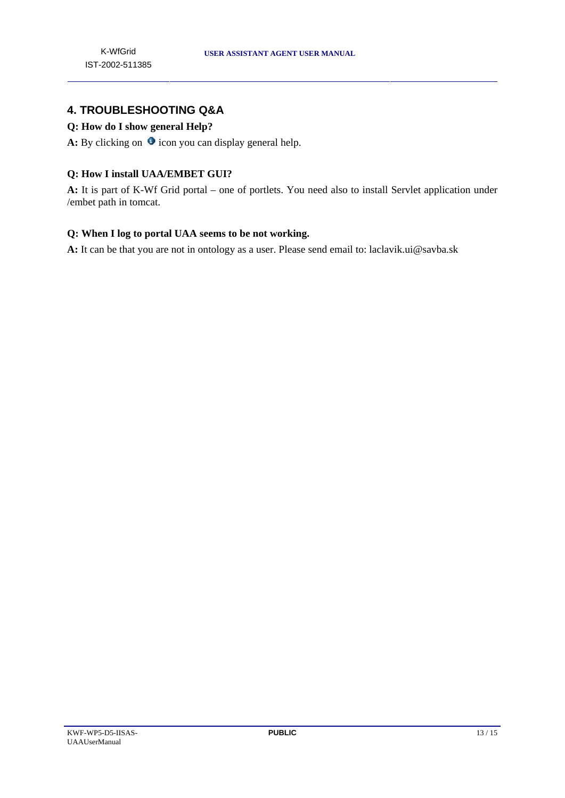# **4. TROUBLESHOOTING Q&A**

# **Q: How do I show general Help?**

**A:** By clicking on  $\bullet$  icon you can display general help.

## **Q: How I install UAA/EMBET GUI?**

**A:** It is part of K-Wf Grid portal – one of portlets. You need also to install Servlet application under /embet path in tomcat.

#### **Q: When I log to portal UAA seems to be not working.**

**A:** It can be that you are not in ontology as a user. Please send email to: laclavik.ui@savba.sk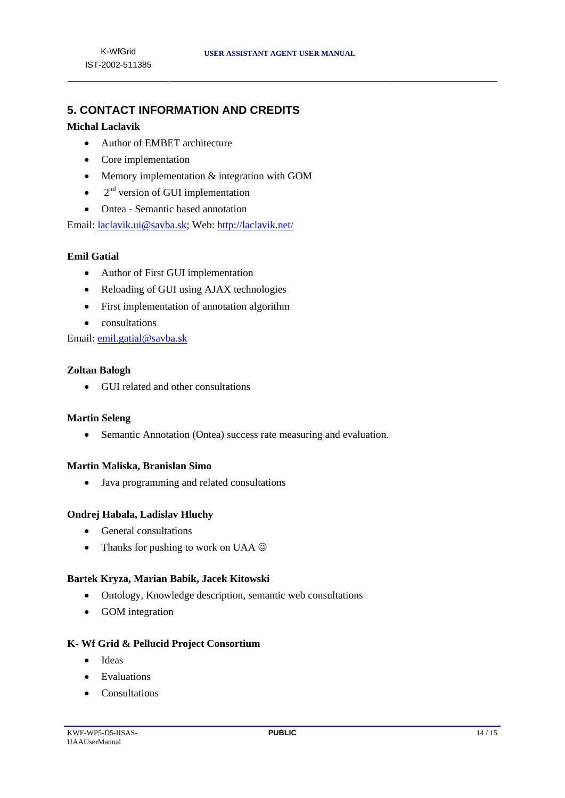# **5. CONTACT INFORMATION AND CREDITS**

#### **Michal Laclavik**

- Author of EMBET architecture
- Core implementation
- Memory implementation  $&$  integration with GOM
- $\bullet$  2<sup>nd</sup> version of GUI implementation
- Ontea Semantic based annotation

Email: laclavik.ui@savba.sk; Web: http://laclavik.net/

## **Emil Gatial**

- Author of First GUI implementation
- Reloading of GUI using AJAX technologies
- First implementation of annotation algorithm
- consultations

Email: emil.gatial@savba.sk

#### **Zoltan Balogh**

• GUI related and other consultations

#### **Martin Seleng**

• Semantic Annotation (Ontea) success rate measuring and evaluation.

#### **Martin Maliska, Branislan Simo**

• Java programming and related consultations

#### **Ondrej Habala, Ladislav Hluchy**

- General consultations
- Thanks for pushing to work on UAA  $\odot$

#### **Bartek Kryza, Marian Babik, Jacek Kitowski**

- Ontology, Knowledge description, semantic web consultations
- GOM integration

#### **K- Wf Grid & Pellucid Project Consortium**

- Ideas
- Evaluations
- Consultations